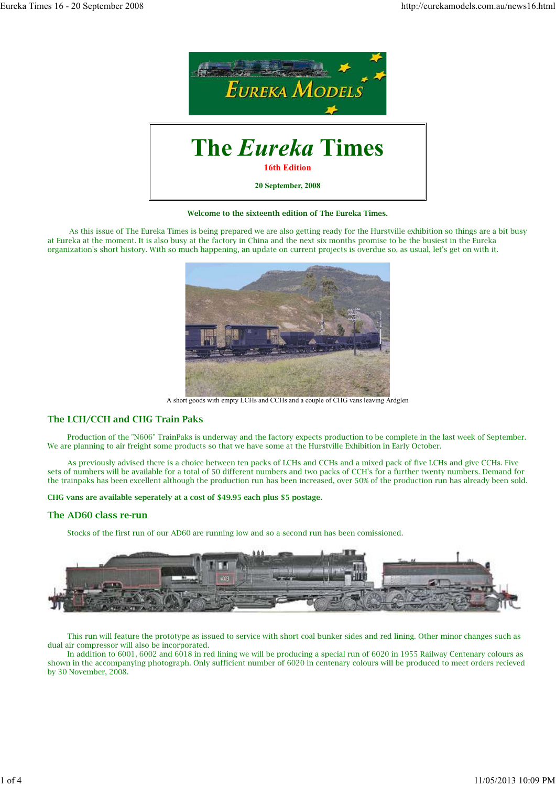

**Welcome to the sixteenth edition of The Eureka Times.**

 As this issue of The Eureka Times is being prepared we are also getting ready for the Hurstville exhibition so things are a bit busy at Eureka at the moment. It is also busy at the factory in China and the next six months promise to be the busiest in the Eureka organization's short history. With so much happening, an update on current projects is overdue so, as usual, let's get on with it.



A short goods with empty LCHs and CCHs and a couple of CHG vans leaving Ardglen

# **The LCH/CCH and CHG Train Paks**

 Production of the "N606" TrainPaks is underway and the factory expects production to be complete in the last week of September. We are planning to air freight some products so that we have some at the Hurstville Exhibition in Early October.

 As previously advised there is a choice between ten packs of LCHs and CCHs and a mixed pack of five LCHs and give CCHs. Five sets of numbers will be available for a total of 50 different numbers and two packs of CCH's for a further twenty numbers. Demand for the trainpaks has been excellent although the production run has been increased, over 50% of the production run has already been sold.

**CHG vans are available seperately at a cost of \$49.95 each plus \$5 postage.**

#### **The AD60 class re-run**

Stocks of the first run of our AD60 are running low and so a second run has been comissioned.



 This run will feature the prototype as issued to service with short coal bunker sides and red lining. Other minor changes such as dual air compressor will also be incorporated.

 In addition to 6001, 6002 and 6018 in red lining we will be producing a special run of 6020 in 1955 Railway Centenary colours as shown in the accompanying photograph. Only sufficient number of 6020 in centenary colours will be produced to meet orders recieved by 30 November, 2008.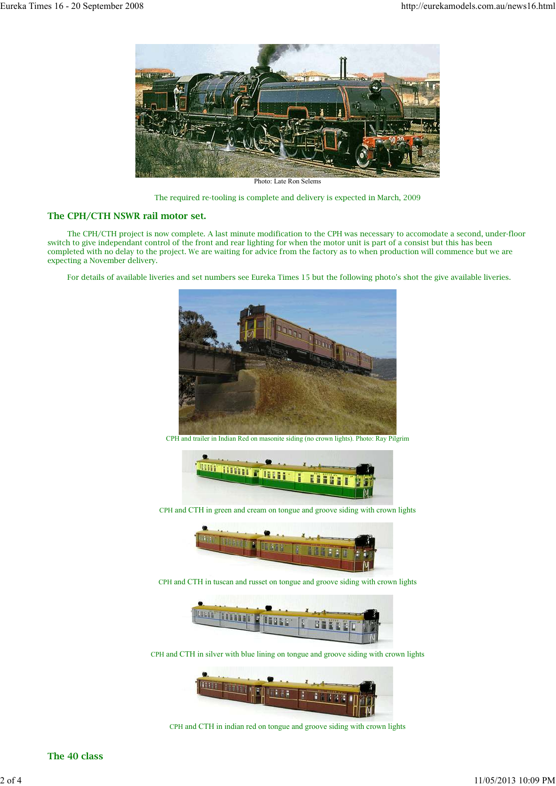

Photo: Late Ron Selems

The required re-tooling is complete and delivery is expected in March, 2009

# **The CPH/CTH NSWR rail motor set.**

 The CPH/CTH project is now complete. A last minute modification to the CPH was necessary to accomodate a second, under-floor switch to give independant control of the front and rear lighting for when the motor unit is part of a consist but this has been completed with no delay to the project. We are waiting for advice from the factory as to when production will commence but we are expecting a November delivery.

For details of available liveries and set numbers see Eureka Times 15 but the following photo's shot the give available liveries.



CPH and trailer in Indian Red on masonite siding (no crown lights). Photo: Ray Pilgrim



CPH and CTH in green and cream on tongue and groove siding with crown lights



CPH and CTH in tuscan and russet on tongue and groove siding with crown lights



CPH and CTH in silver with blue lining on tongue and groove siding with crown lights



CPH and CTH in indian red on tongue and groove siding with crown lights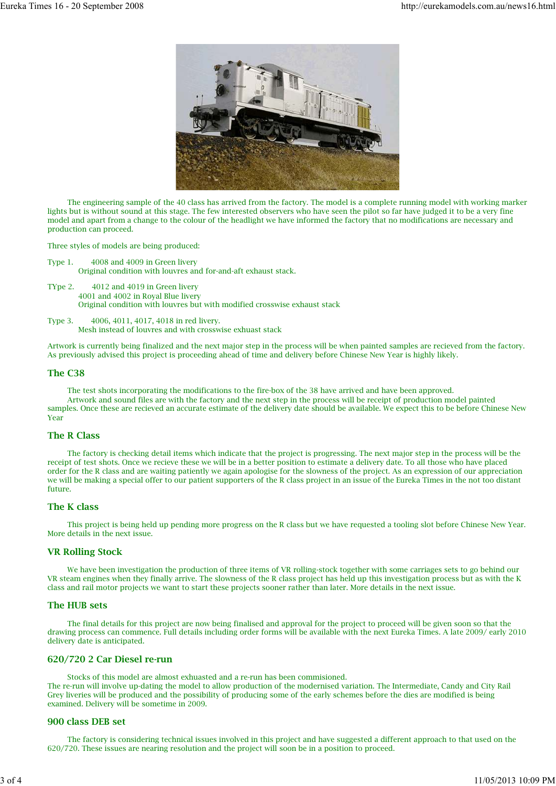

 The engineering sample of the 40 class has arrived from the factory. The model is a complete running model with working marker lights but is without sound at this stage. The few interested observers who have seen the pilot so far have judged it to be a very fine model and apart from a change to the colour of the headlight we have informed the factory that no modifications are necessary and production can proceed.

Three styles of models are being produced:

```
Type 1. 4008 and 4009 in Green livery
```
Original condition with louvres and for-and-aft exhaust stack.

- TYpe 2. 4012 and 4019 in Green livery 4001 and 4002 in Royal Blue livery Original condition with louvres but with modified crosswise exhaust stack
- Type 3. 4006, 4011, 4017, 4018 in red livery. Mesh instead of louvres and with crosswise exhuast stack

Artwork is currently being finalized and the next major step in the process will be when painted samples are recieved from the factory. As previously advised this project is proceeding ahead of time and delivery before Chinese New Year is highly likely.

### **The C38**

 The test shots incorporating the modifications to the fire-box of the 38 have arrived and have been approved. Artwork and sound files are with the factory and the next step in the process will be receipt of production model painted samples. Once these are recieved an accurate estimate of the delivery date should be available. We expect this to be before Chinese New Year

# **The R Class**

 The factory is checking detail items which indicate that the project is progressing. The next major step in the process will be the receipt of test shots. Once we recieve these we will be in a better position to estimate a delivery date. To all those who have placed order for the R class and are waiting patiently we again apologise for the slowness of the project. As an expression of our appreciation we will be making a special offer to our patient supporters of the R class project in an issue of the Eureka Times in the not too distant future.

# **The K class**

 This project is being held up pending more progress on the R class but we have requested a tooling slot before Chinese New Year. More details in the next issue.

## **VR Rolling Stock**

 We have been investigation the production of three items of VR rolling-stock together with some carriages sets to go behind our VR steam engines when they finally arrive. The slowness of the R class project has held up this investigation process but as with the K class and rail motor projects we want to start these projects sooner rather than later. More details in the next issue.

### **The HUB sets**

 The final details for this project are now being finalised and approval for the project to proceed will be given soon so that the drawing process can commence. Full details including order forms will be available with the next Eureka Times. A late 2009/ early 2010 delivery date is anticipated.

## **620/720 2 Car Diesel re-run**

Stocks of this model are almost exhuasted and a re-run has been commisioned.

The re-run will involve up-dating the model to allow production of the modernised variation. The Intermediate, Candy and City Rail Grey liveries will be produced and the possibility of producing some of the early schemes before the dies are modified is being examined. Delivery will be sometime in 2009.

#### **900 class DEB set**

 The factory is considering technical issues involved in this project and have suggested a different approach to that used on the 620/720. These issues are nearing resolution and the project will soon be in a position to proceed.